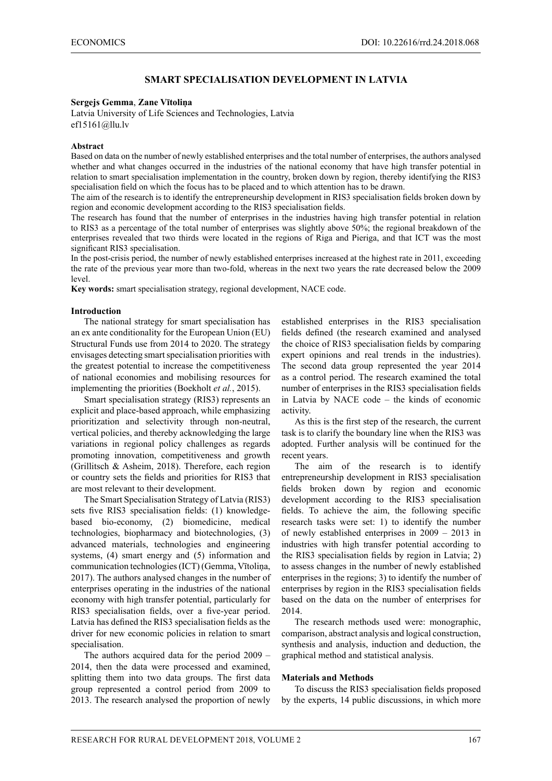# **SMART SPECIALISATION DEVELOPMENT IN LATVIA**

## **Sergejs Gemma**, **Zane Vītoliņa**

Latvia University of Life Sciences and Technologies, Latvia ef15161@llu.lv

### **Abstract**

Based on data on the number of newly established enterprises and the total number of enterprises, the authors analysed whether and what changes occurred in the industries of the national economy that have high transfer potential in relation to smart specialisation implementation in the country, broken down by region, thereby identifying the RIS3 specialisation field on which the focus has to be placed and to which attention has to be drawn.

The aim of the research is to identify the entrepreneurship development in RIS3 specialisation fields broken down by region and economic development according to the RIS3 specialisation fields.

The research has found that the number of enterprises in the industries having high transfer potential in relation to RIS3 as a percentage of the total number of enterprises was slightly above 50%; the regional breakdown of the enterprises revealed that two thirds were located in the regions of Riga and Pieriga, and that ICT was the most significant RIS3 specialisation.

In the post-crisis period, the number of newly established enterprises increased at the highest rate in 2011, exceeding the rate of the previous year more than two-fold, whereas in the next two years the rate decreased below the 2009 level.

**Key words:** smart specialisation strategy, regional development, NACE code.

## **Introduction**

The national strategy for smart specialisation has an ex ante conditionality for the European Union (EU) Structural Funds use from 2014 to 2020. The strategy envisages detecting smart specialisation priorities with the greatest potential to increase the competitiveness of national economies and mobilising resources for implementing the priorities (Boekholt *et al.*, 2015).

Smart specialisation strategy (RIS3) represents an explicit and place-based approach, while emphasizing prioritization and selectivity through non-neutral, vertical policies, and thereby acknowledging the large variations in regional policy challenges as regards promoting innovation, competitiveness and growth (Grillitsch & Asheim, 2018). Therefore, each region or country sets the fields and priorities for RIS3 that are most relevant to their development.

The Smart Specialisation Strategy of Latvia (RIS3) sets five RIS3 specialisation fields: (1) knowledgebased bio-economy, (2) biomedicine, medical technologies, biopharmacy and biotechnologies, (3) advanced materials, technologies and engineering systems, (4) smart energy and (5) information and communication technologies (ICT) (Gemma, Vītoliņa, 2017). The authors analysed changes in the number of enterprises operating in the industries of the national economy with high transfer potential, particularly for RIS3 specialisation fields, over a five-year period. Latvia has defined the RIS3 specialisation fields as the driver for new economic policies in relation to smart specialisation.

The authors acquired data for the period 2009 – 2014, then the data were processed and examined, splitting them into two data groups. The first data group represented a control period from 2009 to 2013. The research analysed the proportion of newly established enterprises in the RIS3 specialisation fields defined (the research examined and analysed the choice of RIS3 specialisation fields by comparing expert opinions and real trends in the industries). The second data group represented the year 2014 as a control period. The research examined the total number of enterprises in the RIS3 specialisation fields in Latvia by NACE code – the kinds of economic activity.

As this is the first step of the research, the current task is to clarify the boundary line when the RIS3 was adopted. Further analysis will be continued for the recent years.

The aim of the research is to identify entrepreneurship development in RIS3 specialisation fields broken down by region and economic development according to the RIS3 specialisation fields. To achieve the aim, the following specific research tasks were set: 1) to identify the number of newly established enterprises in 2009 – 2013 in industries with high transfer potential according to the RIS3 specialisation fields by region in Latvia; 2) to assess changes in the number of newly established enterprises in the regions; 3) to identify the number of enterprises by region in the RIS3 specialisation fields based on the data on the number of enterprises for 2014.

The research methods used were: monographic, comparison, abstract analysis and logical construction, synthesis and analysis, induction and deduction, the graphical method and statistical analysis.

#### **Materials and Methods**

To discuss the RIS3 specialisation fields proposed by the experts, 14 public discussions, in which more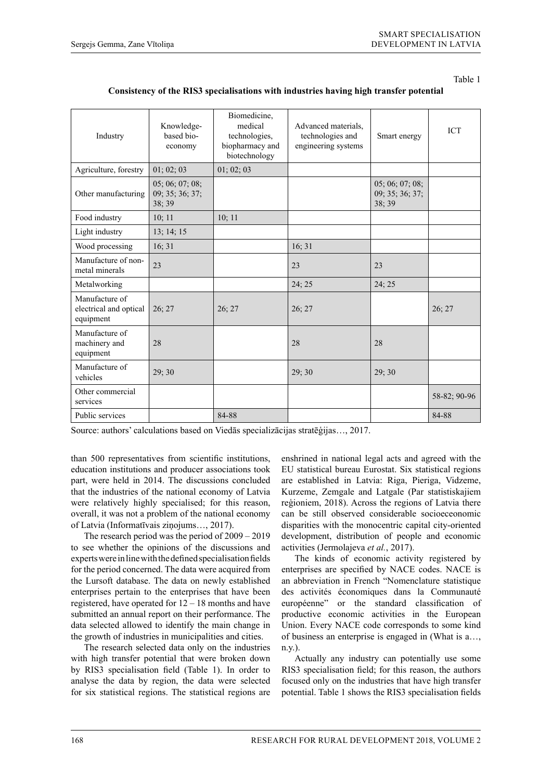Table 1

| Industry                                              | Knowledge-<br>based bio-<br>economy         | Biomedicine,<br>medical<br>technologies,<br>biopharmacy and<br>biotechnology | Advanced materials.<br>technologies and<br>engineering systems | Smart energy                                | <b>ICT</b>   |
|-------------------------------------------------------|---------------------------------------------|------------------------------------------------------------------------------|----------------------------------------------------------------|---------------------------------------------|--------------|
| Agriculture, forestry                                 | 01; 02; 03                                  | 01; 02; 03                                                                   |                                                                |                                             |              |
| Other manufacturing                                   | 05; 06; 07; 08;<br>09; 35; 36; 37;<br>38;39 |                                                                              |                                                                | 05; 06; 07; 08;<br>09; 35; 36; 37;<br>38:39 |              |
| Food industry                                         | 10; 11                                      | 10; 11                                                                       |                                                                |                                             |              |
| Light industry                                        | 13; 14; 15                                  |                                                                              |                                                                |                                             |              |
| Wood processing                                       | 16; 31                                      |                                                                              | 16; 31                                                         |                                             |              |
| Manufacture of non-<br>metal minerals                 | 23                                          |                                                                              | 23                                                             | 23                                          |              |
| Metalworking                                          |                                             |                                                                              | 24; 25                                                         | 24; 25                                      |              |
| Manufacture of<br>electrical and optical<br>equipment | 26; 27                                      | 26; 27                                                                       | 26; 27                                                         |                                             | 26; 27       |
| Manufacture of<br>machinery and<br>equipment          | 28                                          |                                                                              | 28                                                             | 28                                          |              |
| Manufacture of<br>vehicles                            | 29;30                                       |                                                                              | 29; 30                                                         | 29; 30                                      |              |
| Other commercial<br>services                          |                                             |                                                                              |                                                                |                                             | 58-82; 90-96 |
| Public services                                       |                                             | 84-88                                                                        |                                                                |                                             | 84-88        |

# **Consistency of the RIS3 specialisations with industries having high transfer potential**

Source: authors' calculations based on Viedās specializācijas stratēģijas…, 2017.

than 500 representatives from scientific institutions, education institutions and producer associations took part, were held in 2014. The discussions concluded that the industries of the national economy of Latvia were relatively highly specialised; for this reason, overall, it was not a problem of the national economy of Latvia (Informatīvais ziņojums…, 2017).

The research period was the period of 2009 – 2019 to see whether the opinions of the discussions and experts were in line with the defined specialisation fields for the period concerned. The data were acquired from the Lursoft database. The data on newly established enterprises pertain to the enterprises that have been registered, have operated for 12 – 18 months and have submitted an annual report on their performance. The data selected allowed to identify the main change in the growth of industries in municipalities and cities.

The research selected data only on the industries with high transfer potential that were broken down by RIS3 specialisation field (Table 1). In order to analyse the data by region, the data were selected for six statistical regions. The statistical regions are

enshrined in national legal acts and agreed with the EU statistical bureau Eurostat. Six statistical regions are established in Latvia: Riga, Pieriga, Vidzeme, Kurzeme, Zemgale and Latgale (Par statistiskajiem reģioniem, 2018). Across the regions of Latvia there can be still observed considerable socioeceonomic disparities with the monocentric capital city-oriented development, distribution of people and economic activities (Jermolajeva *et al.*, 2017).

The kinds of economic activity registered by enterprises are specified by NACE codes. NACE is an abbreviation in French "Nomenclature statistique des activités économiques dans la Communauté européenne" or the standard classification of productive economic activities in the European Union. Every NACE code corresponds to some kind of business an enterprise is engaged in (What is a…, n.y.).

Actually any industry can potentially use some RIS3 specialisation field; for this reason, the authors focused only on the industries that have high transfer potential. Table 1 shows the RIS3 specialisation fields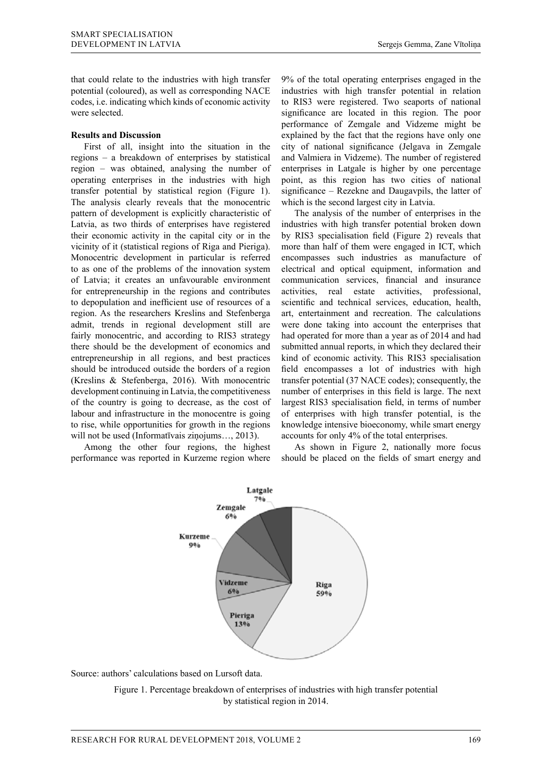that could relate to the industries with high transfer potential (coloured), as well as corresponding NACE codes, i.e. indicating which kinds of economic activity were selected.

## **Results and Discussion**

First of all, insight into the situation in the regions – a breakdown of enterprises by statistical region – was obtained, analysing the number of operating enterprises in the industries with high transfer potential by statistical region (Figure 1). The analysis clearly reveals that the monocentric pattern of development is explicitly characteristic of Latvia, as two thirds of enterprises have registered their economic activity in the capital city or in the vicinity of it (statistical regions of Riga and Pieriga). Monocentric development in particular is referred to as one of the problems of the innovation system of Latvia; it creates an unfavourable environment for entrepreneurship in the regions and contributes to depopulation and inefficient use of resources of a region. As the researchers Kreslins and Stefenberga admit, trends in regional development still are fairly monocentric, and according to RIS3 strategy there should be the development of economics and entrepreneurship in all regions, and best practices should be introduced outside the borders of a region (Kreslins & Stefenberga, 2016). With monocentric development continuing in Latvia, the competitiveness of the country is going to decrease, as the cost of labour and infrastructure in the monocentre is going to rise, while opportunities for growth in the regions will not be used (Informatīvais ziņojums…, 2013).

Among the other four regions, the highest performance was reported in Kurzeme region where

9% of the total operating enterprises engaged in the industries with high transfer potential in relation to RIS3 were registered. Two seaports of national significance are located in this region. The poor performance of Zemgale and Vidzeme might be explained by the fact that the regions have only one city of national significance (Jelgava in Zemgale and Valmiera in Vidzeme). The number of registered enterprises in Latgale is higher by one percentage point, as this region has two cities of national significance – Rezekne and Daugavpils, the latter of which is the second largest city in Latvia.

The analysis of the number of enterprises in the industries with high transfer potential broken down by RIS3 specialisation field (Figure 2) reveals that more than half of them were engaged in ICT, which encompasses such industries as manufacture of electrical and optical equipment, information and communication services, financial and insurance activities, real estate activities, professional, scientific and technical services, education, health, art, entertainment and recreation. The calculations were done taking into account the enterprises that had operated for more than a year as of 2014 and had submitted annual reports, in which they declared their kind of economic activity. This RIS3 specialisation field encompasses a lot of industries with high transfer potential (37 NACE codes); consequently, the number of enterprises in this field is large. The next largest RIS3 specialisation field, in terms of number of enterprises with high transfer potential, is the knowledge intensive bioeconomy, while smart energy accounts for only 4% of the total enterprises.

As shown in Figure 2, nationally more focus should be placed on the fields of smart energy and



Source: authors' calculations based on Lursoft data.

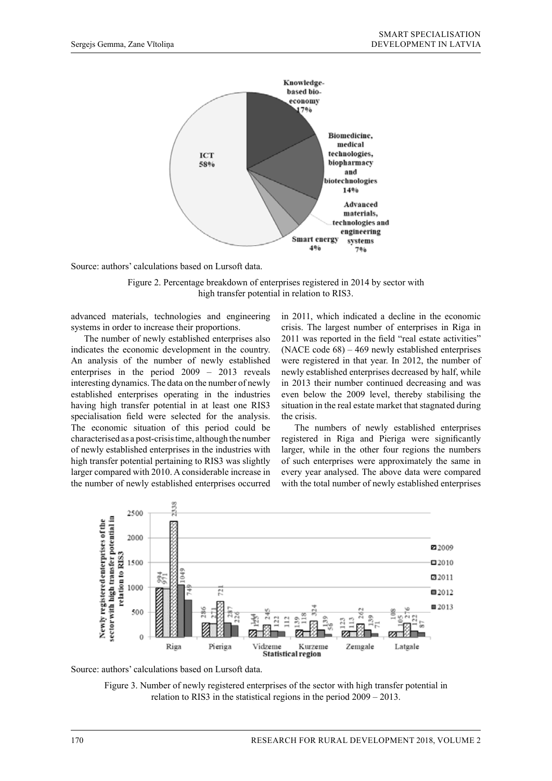

Source: authors' calculations based on Lursoft data.

Figure 2. Percentage breakdown of enterprises registered in 2014 by sector with high transfer potential in relation to RIS3.

advanced materials, technologies and engineering systems in order to increase their proportions.

The number of newly established enterprises also indicates the economic development in the country. An analysis of the number of newly established enterprises in the period 2009 – 2013 reveals interesting dynamics. The data on the number of newly established enterprises operating in the industries having high transfer potential in at least one RIS3 specialisation field were selected for the analysis. The economic situation of this period could be characterised as a post-crisis time, although the number of newly established enterprises in the industries with high transfer potential pertaining to RIS3 was slightly larger compared with 2010. A considerable increase in the number of newly established enterprises occurred

in 2011, which indicated a decline in the economic crisis. The largest number of enterprises in Riga in 2011 was reported in the field "real estate activities" (NACE code 68) – 469 newly established enterprises were registered in that year. In 2012, the number of newly established enterprises decreased by half, while in 2013 their number continued decreasing and was even below the 2009 level, thereby stabilising the situation in the real estate market that stagnated during the crisis.

The numbers of newly established enterprises registered in Riga and Pieriga were significantly larger, while in the other four regions the numbers of such enterprises were approximately the same in every year analysed. The above data were compared with the total number of newly established enterprises





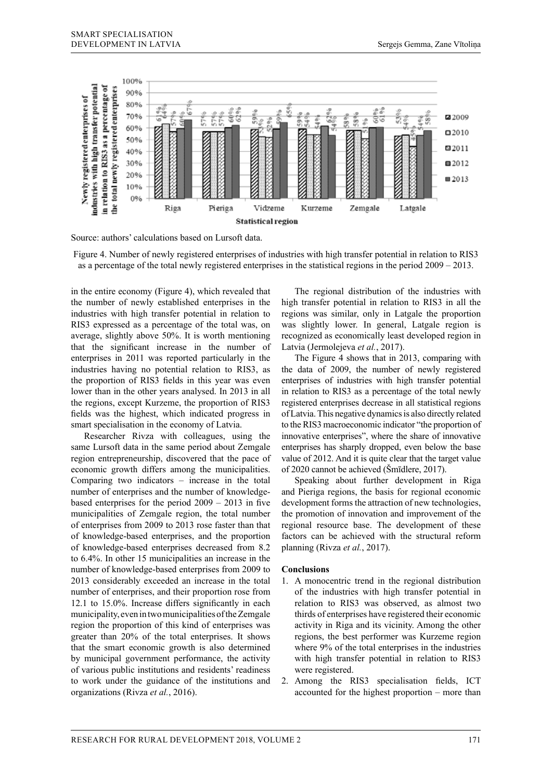

Source: authors' calculations based on Lursoft data.

Figure 4. Number of newly registered enterprises of industries with high transfer potential in relation to RIS3 as a percentage of the total newly registered enterprises in the statistical regions in the period 2009 – 2013.

in the entire economy (Figure 4), which revealed that the number of newly established enterprises in the industries with high transfer potential in relation to RIS3 expressed as a percentage of the total was, on average, slightly above 50%. It is worth mentioning that the significant increase in the number of enterprises in 2011 was reported particularly in the industries having no potential relation to RIS3, as the proportion of RIS3 fields in this year was even lower than in the other years analysed. In 2013 in all the regions, except Kurzeme, the proportion of RIS3 fields was the highest, which indicated progress in smart specialisation in the economy of Latvia.

Researcher Rivza with colleagues, using the same Lursoft data in the same period about Zemgale region entrepreneurship, discovered that the pace of economic growth differs among the municipalities. Comparing two indicators – increase in the total number of enterprises and the number of knowledgebased enterprises for the period 2009 – 2013 in five municipalities of Zemgale region, the total number of enterprises from 2009 to 2013 rose faster than that of knowledge-based enterprises, and the proportion of knowledge-based enterprises decreased from 8.2 to 6.4%. In other 15 municipalities an increase in the number of knowledge-based enterprises from 2009 to 2013 considerably exceeded an increase in the total number of enterprises, and their proportion rose from 12.1 to 15.0%. Increase differs significantly in each municipality, even in two municipalities of the Zemgale region the proportion of this kind of enterprises was greater than 20% of the total enterprises. It shows that the smart economic growth is also determined by municipal government performance, the activity of various public institutions and residents' readiness to work under the guidance of the institutions and organizations (Rivza *et al.*, 2016).

The regional distribution of the industries with high transfer potential in relation to RIS3 in all the regions was similar, only in Latgale the proportion was slightly lower. In general, Latgale region is recognized as economically least developed region in Latvia (Jermolejeva *et al.*, 2017).

The Figure 4 shows that in 2013, comparing with the data of 2009, the number of newly registered enterprises of industries with high transfer potential in relation to RIS3 as a percentage of the total newly registered enterprises decrease in all statistical regions of Latvia. This negative dynamics is also directly related to the RIS3 macroeconomic indicator "the proportion of innovative enterprises", where the share of innovative enterprises has sharply dropped, even below the base value of 2012. And it is quite clear that the target value of 2020 cannot be achieved (Šmīdlere, 2017).

Speaking about further development in Riga and Pieriga regions, the basis for regional economic development forms the attraction of new technologies, the promotion of innovation and improvement of the regional resource base. The development of these factors can be achieved with the structural reform planning (Rivza *et al.*, 2017).

## **Conclusions**

- 1. A monocentric trend in the regional distribution of the industries with high transfer potential in relation to RIS3 was observed, as almost two thirds of enterprises have registered their economic activity in Riga and its vicinity. Among the other regions, the best performer was Kurzeme region where 9% of the total enterprises in the industries with high transfer potential in relation to RIS3 were registered.
- 2. Among the RIS3 specialisation fields, ICT accounted for the highest proportion – more than